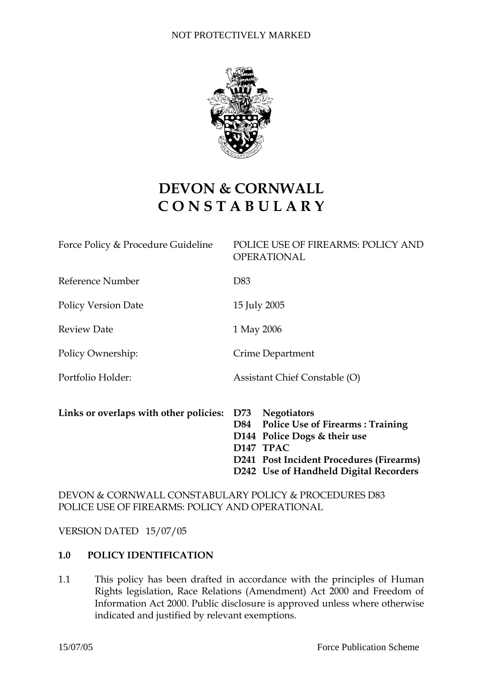

# **DEVON & CORNWALL C O N S T A B U L A R Y**

| Links or overlaps with other policies: | D73 Negotiators<br><b>Police Use of Firearms: Training</b><br>D84<br>D144 Police Dogs & their use<br>D147 TPAC<br>D241 Post Incident Procedures (Firearms)<br>D242 Use of Handheld Digital Recorders |
|----------------------------------------|------------------------------------------------------------------------------------------------------------------------------------------------------------------------------------------------------|
| Portfolio Holder:                      | Assistant Chief Constable (O)                                                                                                                                                                        |
|                                        |                                                                                                                                                                                                      |
| Policy Ownership:                      | Crime Department                                                                                                                                                                                     |
| <b>Review Date</b>                     | 1 May 2006                                                                                                                                                                                           |
| <b>Policy Version Date</b>             | 15 July 2005                                                                                                                                                                                         |
| Reference Number                       | D83                                                                                                                                                                                                  |
| Force Policy & Procedure Guideline     | POLICE USE OF FIREARMS: POLICY AND<br><b>OPERATIONAL</b>                                                                                                                                             |

# DEVON & CORNWALL CONSTABULARY POLICY & PROCEDURES D83 POLICE USE OF FIREARMS: POLICY AND OPERATIONAL

VERSION DATED 15/07/05

## **1.0 POLICY IDENTIFICATION**

1.1 This policy has been drafted in accordance with the principles of Human Rights legislation, Race Relations (Amendment) Act 2000 and Freedom of Information Act 2000. Public disclosure is approved unless where otherwise indicated and justified by relevant exemptions.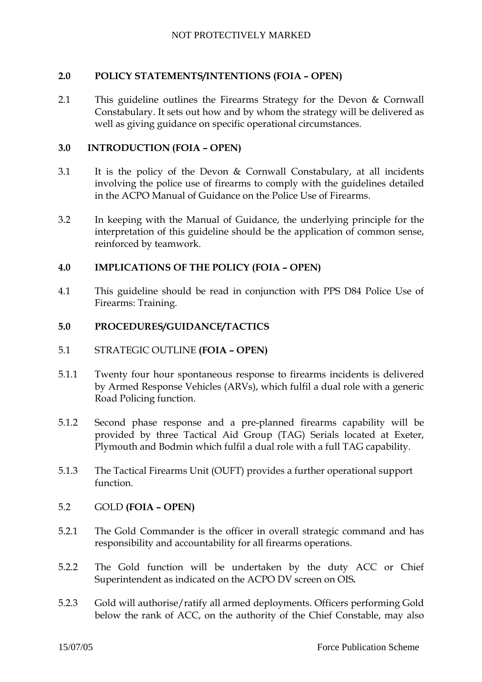## **2.0 POLICY STATEMENTS/INTENTIONS (FOIA – OPEN)**

2.1 This guideline outlines the Firearms Strategy for the Devon & Cornwall Constabulary. It sets out how and by whom the strategy will be delivered as well as giving guidance on specific operational circumstances.

#### **3.0 INTRODUCTION (FOIA – OPEN)**

- 3.1 It is the policy of the Devon & Cornwall Constabulary, at all incidents involving the police use of firearms to comply with the guidelines detailed in the ACPO Manual of Guidance on the Police Use of Firearms.
- 3.2 In keeping with the Manual of Guidance, the underlying principle for the interpretation of this guideline should be the application of common sense, reinforced by teamwork.

## **4.0 IMPLICATIONS OF THE POLICY (FOIA – OPEN)**

4.1 This guideline should be read in conjunction with PPS D84 Police Use of Firearms: Training.

#### **5.0 PROCEDURES/GUIDANCE/TACTICS**

- 5.1 STRATEGIC OUTLINE **(FOIA OPEN)**
- 5.1.1 Twenty four hour spontaneous response to firearms incidents is delivered by Armed Response Vehicles (ARVs), which fulfil a dual role with a generic Road Policing function.
- 5.1.2 Second phase response and a pre-planned firearms capability will be provided by three Tactical Aid Group (TAG) Serials located at Exeter, Plymouth and Bodmin which fulfil a dual role with a full TAG capability.
- 5.1.3 The Tactical Firearms Unit (OUFT) provides a further operational support function.

## 5.2 GOLD **(FOIA – OPEN)**

- 5.2.1 The Gold Commander is the officer in overall strategic command and has responsibility and accountability for all firearms operations.
- 5.2.2 The Gold function will be undertaken by the duty ACC or Chief Superintendent as indicated on the ACPO DV screen on OIS*.*
- 5.2.3 Gold will authorise/ratify all armed deployments. Officers performing Gold below the rank of ACC, on the authority of the Chief Constable, may also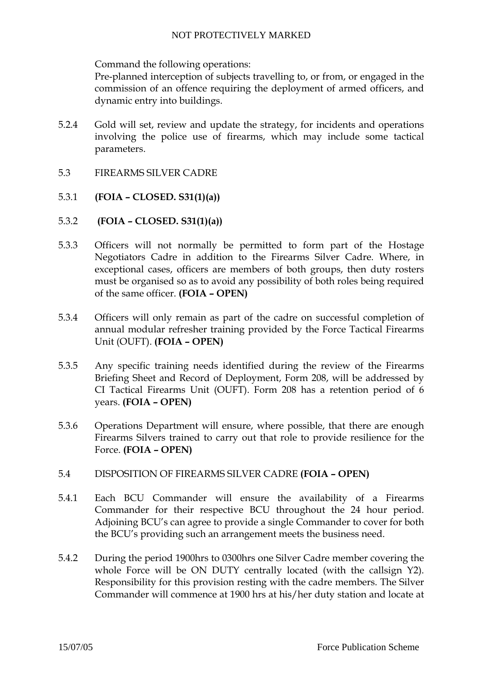Command the following operations:

Pre-planned interception of subjects travelling to, or from, or engaged in the commission of an offence requiring the deployment of armed officers, and dynamic entry into buildings.

- 5.2.4 Gold will set, review and update the strategy, for incidents and operations involving the police use of firearms, which may include some tactical parameters.
- 5.3 FIREARMS SILVER CADRE
- 5.3.1 **(FOIA CLOSED. S31(1)(a))**
- 5.3.2 **(FOIA CLOSED. S31(1)(a))**
- 5.3.3 Officers will not normally be permitted to form part of the Hostage Negotiators Cadre in addition to the Firearms Silver Cadre. Where, in exceptional cases, officers are members of both groups, then duty rosters must be organised so as to avoid any possibility of both roles being required of the same officer. **(FOIA – OPEN)**
- 5.3.4 Officers will only remain as part of the cadre on successful completion of annual modular refresher training provided by the Force Tactical Firearms Unit (OUFT). **(FOIA – OPEN)**
- 5.3.5 Any specific training needs identified during the review of the Firearms Briefing Sheet and Record of Deployment, Form 208, will be addressed by CI Tactical Firearms Unit (OUFT). Form 208 has a retention period of 6 years. **(FOIA – OPEN)**
- 5.3.6 Operations Department will ensure, where possible, that there are enough Firearms Silvers trained to carry out that role to provide resilience for the Force. **(FOIA – OPEN)**
- 5.4 DISPOSITION OF FIREARMS SILVER CADRE **(FOIA OPEN)**
- 5.4.1 Each BCU Commander will ensure the availability of a Firearms Commander for their respective BCU throughout the 24 hour period. Adjoining BCU's can agree to provide a single Commander to cover for both the BCU's providing such an arrangement meets the business need.
- 5.4.2 During the period 1900hrs to 0300hrs one Silver Cadre member covering the whole Force will be ON DUTY centrally located (with the callsign Y2). Responsibility for this provision resting with the cadre members. The Silver Commander will commence at 1900 hrs at his/her duty station and locate at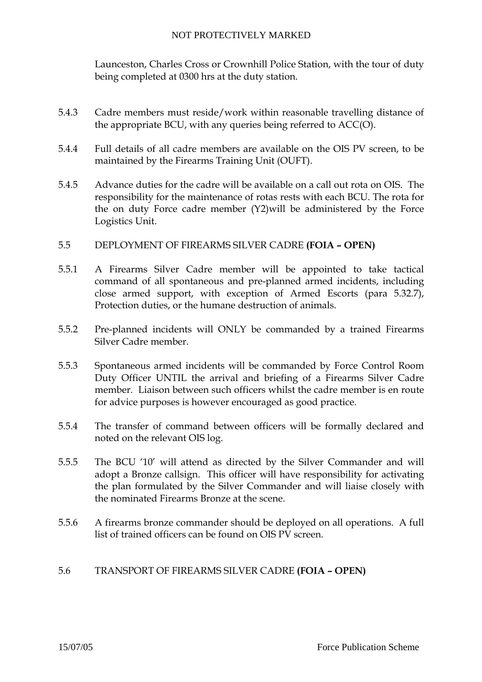Launceston, Charles Cross or Crownhill Police Station, with the tour of duty being completed at 0300 hrs at the duty station.

- 5.4.3 Cadre members must reside/work within reasonable travelling distance of the appropriate BCU, with any queries being referred to ACC(O).
- 5.4.4 Full details of all cadre members are available on the OIS PV screen, to be maintained by the Firearms Training Unit (OUFT).
- 5.4.5 Advance duties for the cadre will be available on a call out rota on OIS. The responsibility for the maintenance of rotas rests with each BCU. The rota for the on duty Force cadre member (Y2)will be administered by the Force Logistics Unit.
- 5.5 DEPLOYMENT OF FIREARMS SILVER CADRE **(FOIA OPEN)**
- 5.5.1 A Firearms Silver Cadre member will be appointed to take tactical command of all spontaneous and pre-planned armed incidents, including close armed support, with exception of Armed Escorts (para 5.32.7), Protection duties, or the humane destruction of animals.
- 5.5.2 Pre-planned incidents will ONLY be commanded by a trained Firearms Silver Cadre member.
- 5.5.3 Spontaneous armed incidents will be commanded by Force Control Room Duty Officer UNTIL the arrival and briefing of a Firearms Silver Cadre member. Liaison between such officers whilst the cadre member is en route for advice purposes is however encouraged as good practice.
- 5.5.4 The transfer of command between officers will be formally declared and noted on the relevant OIS log.
- 5.5.5 The BCU '10' will attend as directed by the Silver Commander and will adopt a Bronze callsign. This officer will have responsibility for activating the plan formulated by the Silver Commander and will liaise closely with the nominated Firearms Bronze at the scene.
- 5.5.6 A firearms bronze commander should be deployed on all operations. A full list of trained officers can be found on OIS PV screen.

## 5.6 TRANSPORT OF FIREARMS SILVER CADRE **(FOIA – OPEN)**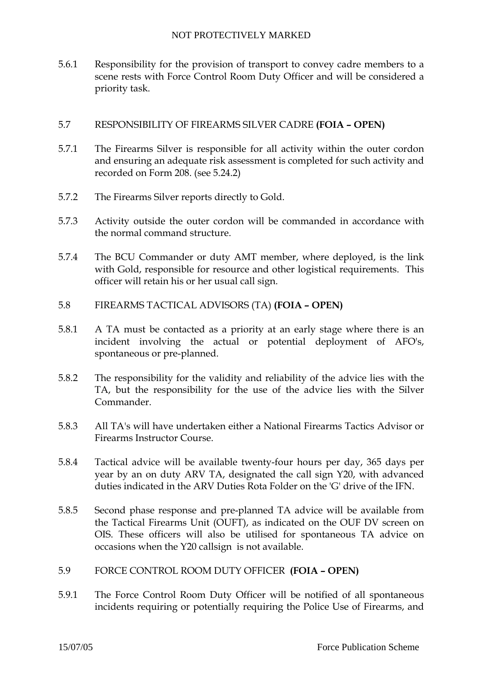5.6.1 Responsibility for the provision of transport to convey cadre members to a scene rests with Force Control Room Duty Officer and will be considered a priority task.

## 5.7 RESPONSIBILITY OF FIREARMS SILVER CADRE **(FOIA – OPEN)**

- 5.7.1 The Firearms Silver is responsible for all activity within the outer cordon and ensuring an adequate risk assessment is completed for such activity and recorded on Form 208. (see 5.24.2)
- 5.7.2 The Firearms Silver reports directly to Gold.
- 5.7.3 Activity outside the outer cordon will be commanded in accordance with the normal command structure.
- 5.7.4 The BCU Commander or duty AMT member, where deployed, is the link with Gold, responsible for resource and other logistical requirements. This officer will retain his or her usual call sign.
- 5.8 FIREARMS TACTICAL ADVISORS (TA) **(FOIA OPEN)**
- 5.8.1 A TA must be contacted as a priority at an early stage where there is an incident involving the actual or potential deployment of AFO's, spontaneous or pre-planned.
- 5.8.2 The responsibility for the validity and reliability of the advice lies with the TA, but the responsibility for the use of the advice lies with the Silver Commander.
- 5.8.3 All TA's will have undertaken either a National Firearms Tactics Advisor or Firearms Instructor Course.
- 5.8.4 Tactical advice will be available twenty-four hours per day, 365 days per year by an on duty ARV TA, designated the call sign Y20, with advanced duties indicated in the ARV Duties Rota Folder on the 'G' drive of the IFN.
- 5.8.5 Second phase response and pre-planned TA advice will be available from the Tactical Firearms Unit (OUFT), as indicated on the OUF DV screen on OIS. These officers will also be utilised for spontaneous TA advice on occasions when the Y20 callsign is not available.
- 5.9 FORCE CONTROL ROOM DUTY OFFICER **(FOIA OPEN)**
- 5.9.1 The Force Control Room Duty Officer will be notified of all spontaneous incidents requiring or potentially requiring the Police Use of Firearms, and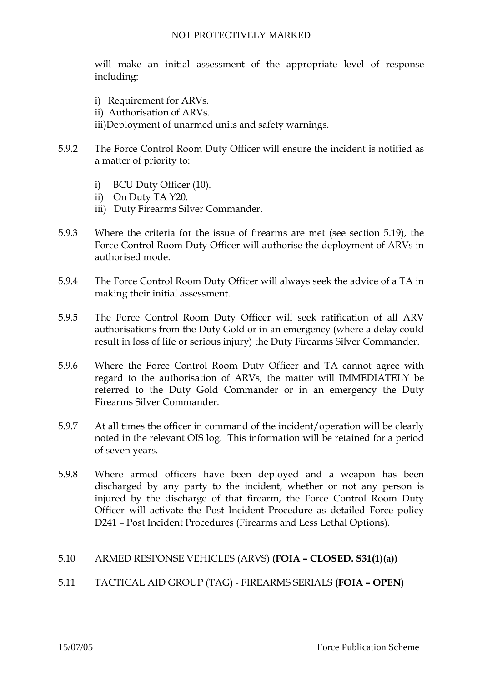will make an initial assessment of the appropriate level of response including:

- i) Requirement for ARVs.
- ii) Authorisation of ARVs.

iii)Deployment of unarmed units and safety warnings.

- 5.9.2 The Force Control Room Duty Officer will ensure the incident is notified as a matter of priority to:
	- i) BCU Duty Officer (10).
	- ii) On Duty TA Y20.
	- iii) Duty Firearms Silver Commander.
- 5.9.3 Where the criteria for the issue of firearms are met (see section 5.19), the Force Control Room Duty Officer will authorise the deployment of ARVs in authorised mode.
- 5.9.4 The Force Control Room Duty Officer will always seek the advice of a TA in making their initial assessment.
- 5.9.5 The Force Control Room Duty Officer will seek ratification of all ARV authorisations from the Duty Gold or in an emergency (where a delay could result in loss of life or serious injury) the Duty Firearms Silver Commander.
- 5.9.6 Where the Force Control Room Duty Officer and TA cannot agree with regard to the authorisation of ARVs, the matter will IMMEDIATELY be referred to the Duty Gold Commander or in an emergency the Duty Firearms Silver Commander.
- 5.9.7 At all times the officer in command of the incident/operation will be clearly noted in the relevant OIS log. This information will be retained for a period of seven years.
- 5.9.8 Where armed officers have been deployed and a weapon has been discharged by any party to the incident, whether or not any person is injured by the discharge of that firearm, the Force Control Room Duty Officer will activate the Post Incident Procedure as detailed Force policy D241 – Post Incident Procedures (Firearms and Less Lethal Options).

## 5.10 ARMED RESPONSE VEHICLES (ARVS) **(FOIA – CLOSED. S31(1)(a))**

## 5.11 TACTICAL AID GROUP (TAG) - FIREARMS SERIALS **(FOIA – OPEN)**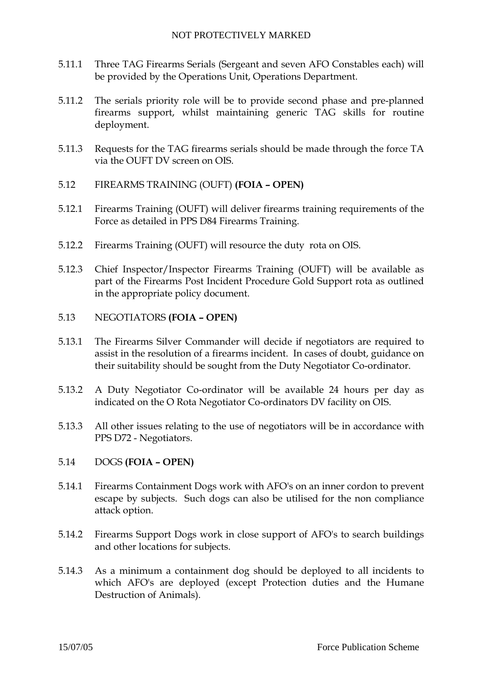- 5.11.1 Three TAG Firearms Serials (Sergeant and seven AFO Constables each) will be provided by the Operations Unit, Operations Department.
- 5.11.2 The serials priority role will be to provide second phase and pre-planned firearms support, whilst maintaining generic TAG skills for routine deployment.
- 5.11.3 Requests for the TAG firearms serials should be made through the force TA via the OUFT DV screen on OIS.
- 5.12 FIREARMS TRAINING (OUFT) **(FOIA OPEN)**
- 5.12.1 Firearms Training (OUFT) will deliver firearms training requirements of the Force as detailed in PPS D84 Firearms Training.
- 5.12.2 Firearms Training (OUFT) will resource the duty rota on OIS.
- 5.12.3 Chief Inspector/Inspector Firearms Training (OUFT) will be available as part of the Firearms Post Incident Procedure Gold Support rota as outlined in the appropriate policy document.
- 5.13 NEGOTIATORS **(FOIA OPEN)**
- 5.13.1 The Firearms Silver Commander will decide if negotiators are required to assist in the resolution of a firearms incident. In cases of doubt, guidance on their suitability should be sought from the Duty Negotiator Co-ordinator.
- 5.13.2 A Duty Negotiator Co-ordinator will be available 24 hours per day as indicated on the O Rota Negotiator Co-ordinators DV facility on OIS.
- 5.13.3 All other issues relating to the use of negotiators will be in accordance with PPS D72 - Negotiators.
- 5.14 DOGS **(FOIA OPEN)**
- 5.14.1 Firearms Containment Dogs work with AFO's on an inner cordon to prevent escape by subjects. Such dogs can also be utilised for the non compliance attack option.
- 5.14.2 Firearms Support Dogs work in close support of AFO's to search buildings and other locations for subjects.
- 5.14.3 As a minimum a containment dog should be deployed to all incidents to which AFO's are deployed (except Protection duties and the Humane Destruction of Animals).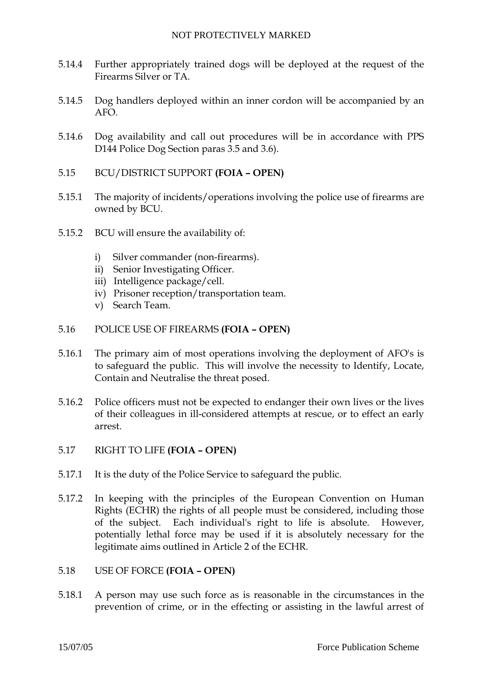- 5.14.4 Further appropriately trained dogs will be deployed at the request of the Firearms Silver or TA.
- 5.14.5 Dog handlers deployed within an inner cordon will be accompanied by an AFO.
- 5.14.6 Dog availability and call out procedures will be in accordance with PPS D144 Police Dog Section paras 3.5 and 3.6).
- 5.15 BCU/DISTRICT SUPPORT **(FOIA OPEN)**
- 5.15.1 The majority of incidents/operations involving the police use of firearms are owned by BCU.
- 5.15.2 BCU will ensure the availability of:
	- i) Silver commander (non-firearms).
	- ii) Senior Investigating Officer.
	- iii) Intelligence package/cell.
	- iv) Prisoner reception/transportation team.
	- v) Search Team.
- 5.16 POLICE USE OF FIREARMS **(FOIA OPEN)**
- 5.16.1 The primary aim of most operations involving the deployment of AFO's is to safeguard the public. This will involve the necessity to Identify, Locate, Contain and Neutralise the threat posed.
- 5.16.2 Police officers must not be expected to endanger their own lives or the lives of their colleagues in ill-considered attempts at rescue, or to effect an early arrest.
- 5.17 RIGHT TO LIFE **(FOIA OPEN)**
- 5.17.1 It is the duty of the Police Service to safeguard the public.
- 5.17.2 In keeping with the principles of the European Convention on Human Rights (ECHR) the rights of all people must be considered, including those of the subject. Each individual's right to life is absolute. However, potentially lethal force may be used if it is absolutely necessary for the legitimate aims outlined in Article 2 of the ECHR.
- 5.18 USE OF FORCE **(FOIA OPEN)**
- 5.18.1 A person may use such force as is reasonable in the circumstances in the prevention of crime, or in the effecting or assisting in the lawful arrest of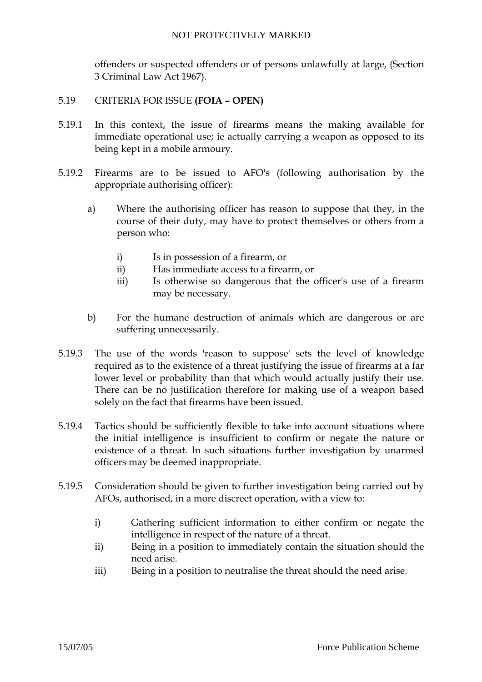offenders or suspected offenders or of persons unlawfully at large, (Section 3 Criminal Law Act 1967).

## 5.19 CRITERIA FOR ISSUE **(FOIA – OPEN)**

- 5.19.1 In this context, the issue of firearms means the making available for immediate operational use; ie actually carrying a weapon as opposed to its being kept in a mobile armoury.
- 5.19.2 Firearms are to be issued to AFO's (following authorisation by the appropriate authorising officer):
	- a) Where the authorising officer has reason to suppose that they, in the course of their duty, may have to protect themselves or others from a person who:
		- i) Is in possession of a firearm, or
		- ii) Has immediate access to a firearm, or
		- iii) Is otherwise so dangerous that the officer's use of a firearm may be necessary.
	- b) For the humane destruction of animals which are dangerous or are suffering unnecessarily.
- 5.19.3 The use of the words 'reason to suppose' sets the level of knowledge required as to the existence of a threat justifying the issue of firearms at a far lower level or probability than that which would actually justify their use. There can be no justification therefore for making use of a weapon based solely on the fact that firearms have been issued.
- 5.19.4 Tactics should be sufficiently flexible to take into account situations where the initial intelligence is insufficient to confirm or negate the nature or existence of a threat. In such situations further investigation by unarmed officers may be deemed inappropriate.
- 5.19.5 Consideration should be given to further investigation being carried out by AFOs, authorised, in a more discreet operation, with a view to:
	- i) Gathering sufficient information to either confirm or negate the intelligence in respect of the nature of a threat.
	- ii) Being in a position to immediately contain the situation should the need arise.
	- iii) Being in a position to neutralise the threat should the need arise.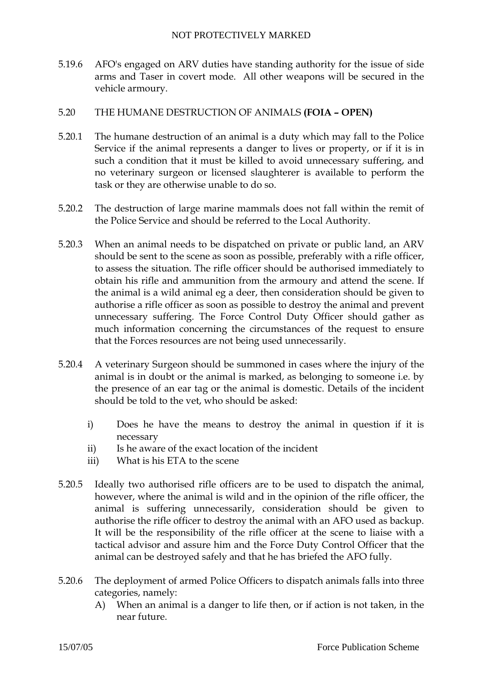5.19.6 AFO's engaged on ARV duties have standing authority for the issue of side arms and Taser in covert mode. All other weapons will be secured in the vehicle armoury.

## 5.20 THE HUMANE DESTRUCTION OF ANIMALS **(FOIA – OPEN)**

- 5.20.1 The humane destruction of an animal is a duty which may fall to the Police Service if the animal represents a danger to lives or property, or if it is in such a condition that it must be killed to avoid unnecessary suffering, and no veterinary surgeon or licensed slaughterer is available to perform the task or they are otherwise unable to do so.
- 5.20.2 The destruction of large marine mammals does not fall within the remit of the Police Service and should be referred to the Local Authority.
- 5.20.3 When an animal needs to be dispatched on private or public land, an ARV should be sent to the scene as soon as possible, preferably with a rifle officer, to assess the situation. The rifle officer should be authorised immediately to obtain his rifle and ammunition from the armoury and attend the scene. If the animal is a wild animal eg a deer, then consideration should be given to authorise a rifle officer as soon as possible to destroy the animal and prevent unnecessary suffering. The Force Control Duty Officer should gather as much information concerning the circumstances of the request to ensure that the Forces resources are not being used unnecessarily.
- 5.20.4 A veterinary Surgeon should be summoned in cases where the injury of the animal is in doubt or the animal is marked, as belonging to someone i.e. by the presence of an ear tag or the animal is domestic. Details of the incident should be told to the vet, who should be asked:
	- i) Does he have the means to destroy the animal in question if it is necessary
	- ii) Is he aware of the exact location of the incident
	- iii) What is his ETA to the scene
- 5.20.5 Ideally two authorised rifle officers are to be used to dispatch the animal, however, where the animal is wild and in the opinion of the rifle officer, the animal is suffering unnecessarily, consideration should be given to authorise the rifle officer to destroy the animal with an AFO used as backup. It will be the responsibility of the rifle officer at the scene to liaise with a tactical advisor and assure him and the Force Duty Control Officer that the animal can be destroyed safely and that he has briefed the AFO fully.
- 5.20.6 The deployment of armed Police Officers to dispatch animals falls into three categories, namely:
	- A) When an animal is a danger to life then, or if action is not taken, in the near future.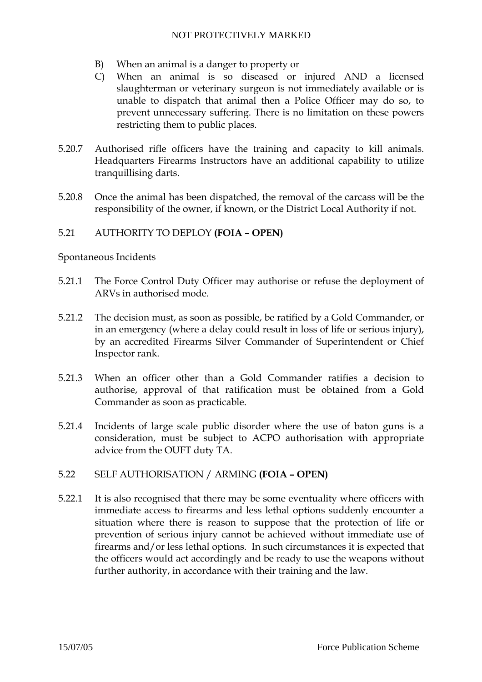- B) When an animal is a danger to property or
- C) When an animal is so diseased or injured AND a licensed slaughterman or veterinary surgeon is not immediately available or is unable to dispatch that animal then a Police Officer may do so, to prevent unnecessary suffering. There is no limitation on these powers restricting them to public places.
- 5.20.7 Authorised rifle officers have the training and capacity to kill animals. Headquarters Firearms Instructors have an additional capability to utilize tranquillising darts.
- 5.20.8 Once the animal has been dispatched, the removal of the carcass will be the responsibility of the owner, if known, or the District Local Authority if not.

# 5.21 AUTHORITY TO DEPLOY **(FOIA – OPEN)**

Spontaneous Incidents

- 5.21.1 The Force Control Duty Officer may authorise or refuse the deployment of ARVs in authorised mode.
- 5.21.2 The decision must, as soon as possible, be ratified by a Gold Commander, or in an emergency (where a delay could result in loss of life or serious injury), by an accredited Firearms Silver Commander of Superintendent or Chief Inspector rank.
- 5.21.3 When an officer other than a Gold Commander ratifies a decision to authorise, approval of that ratification must be obtained from a Gold Commander as soon as practicable.
- 5.21.4 Incidents of large scale public disorder where the use of baton guns is a consideration, must be subject to ACPO authorisation with appropriate advice from the OUFT duty TA.
- 5.22 SELF AUTHORISATION / ARMING **(FOIA OPEN)**
- 5.22.1 It is also recognised that there may be some eventuality where officers with immediate access to firearms and less lethal options suddenly encounter a situation where there is reason to suppose that the protection of life or prevention of serious injury cannot be achieved without immediate use of firearms and/or less lethal options. In such circumstances it is expected that the officers would act accordingly and be ready to use the weapons without further authority, in accordance with their training and the law.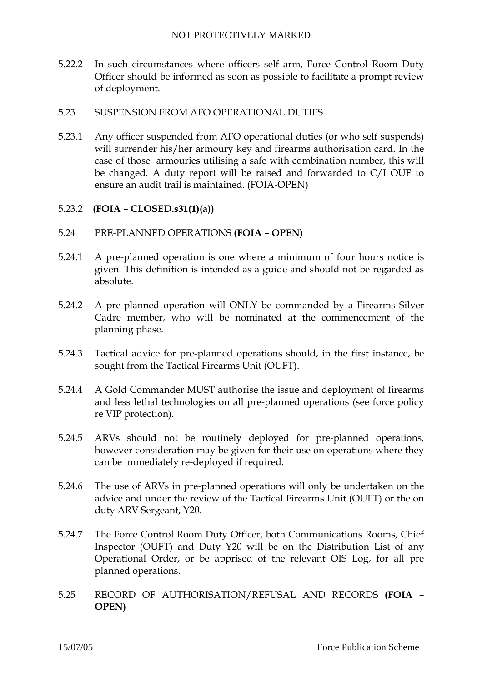5.22.2 In such circumstances where officers self arm, Force Control Room Duty Officer should be informed as soon as possible to facilitate a prompt review of deployment.

#### 5.23 SUSPENSION FROM AFO OPERATIONAL DUTIES

5.23.1 Any officer suspended from AFO operational duties (or who self suspends) will surrender his/her armoury key and firearms authorisation card. In the case of those armouries utilising a safe with combination number, this will be changed. A duty report will be raised and forwarded to C/I OUF to ensure an audit trail is maintained. (FOIA-OPEN)

## 5.23.2 **(FOIA – CLOSED.s31(1)(a))**

- 5.24 PRE-PLANNED OPERATIONS **(FOIA OPEN)**
- 5.24.1 A pre-planned operation is one where a minimum of four hours notice is given. This definition is intended as a guide and should not be regarded as absolute.
- 5.24.2 A pre-planned operation will ONLY be commanded by a Firearms Silver Cadre member, who will be nominated at the commencement of the planning phase.
- 5.24.3 Tactical advice for pre-planned operations should, in the first instance, be sought from the Tactical Firearms Unit (OUFT).
- 5.24.4 A Gold Commander MUST authorise the issue and deployment of firearms and less lethal technologies on all pre-planned operations (see force policy re VIP protection).
- 5.24.5 ARVs should not be routinely deployed for pre-planned operations, however consideration may be given for their use on operations where they can be immediately re-deployed if required.
- 5.24.6 The use of ARVs in pre-planned operations will only be undertaken on the advice and under the review of the Tactical Firearms Unit (OUFT) or the on duty ARV Sergeant, Y20.
- 5.24.7 The Force Control Room Duty Officer, both Communications Rooms, Chief Inspector (OUFT) and Duty Y20 will be on the Distribution List of any Operational Order, or be apprised of the relevant OIS Log, for all pre planned operations.
- 5.25 RECORD OF AUTHORISATION/REFUSAL AND RECORDS **(FOIA OPEN)**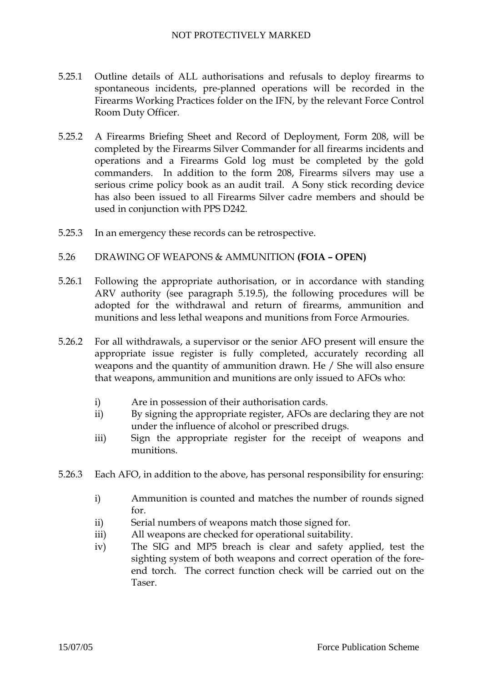- 5.25.1 Outline details of ALL authorisations and refusals to deploy firearms to spontaneous incidents, pre-planned operations will be recorded in the Firearms Working Practices folder on the IFN, by the relevant Force Control Room Duty Officer.
- 5.25.2 A Firearms Briefing Sheet and Record of Deployment, Form 208, will be completed by the Firearms Silver Commander for all firearms incidents and operations and a Firearms Gold log must be completed by the gold commanders. In addition to the form 208, Firearms silvers may use a serious crime policy book as an audit trail. A Sony stick recording device has also been issued to all Firearms Silver cadre members and should be used in conjunction with PPS D242.
- 5.25.3 In an emergency these records can be retrospective.
- 5.26 DRAWING OF WEAPONS & AMMUNITION **(FOIA OPEN)**
- 5.26.1 Following the appropriate authorisation, or in accordance with standing ARV authority (see paragraph 5.19.5), the following procedures will be adopted for the withdrawal and return of firearms, ammunition and munitions and less lethal weapons and munitions from Force Armouries.
- 5.26.2 For all withdrawals, a supervisor or the senior AFO present will ensure the appropriate issue register is fully completed, accurately recording all weapons and the quantity of ammunition drawn. He / She will also ensure that weapons, ammunition and munitions are only issued to AFOs who:
	- i) Are in possession of their authorisation cards.
	- ii) By signing the appropriate register, AFOs are declaring they are not under the influence of alcohol or prescribed drugs.
	- iii) Sign the appropriate register for the receipt of weapons and munitions.
- 5.26.3 Each AFO, in addition to the above, has personal responsibility for ensuring:
	- i) Ammunition is counted and matches the number of rounds signed for.
	- ii) Serial numbers of weapons match those signed for.
	- iii) All weapons are checked for operational suitability.
	- iv) The SIG and MP5 breach is clear and safety applied, test the sighting system of both weapons and correct operation of the foreend torch. The correct function check will be carried out on the **Taser**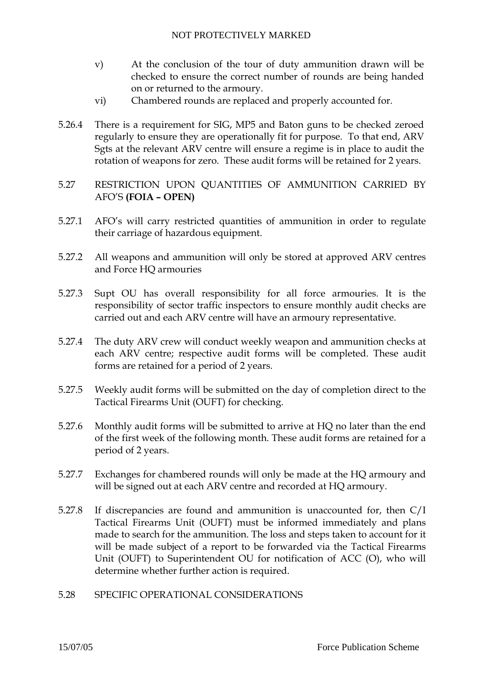- v) At the conclusion of the tour of duty ammunition drawn will be checked to ensure the correct number of rounds are being handed on or returned to the armoury.
- vi) Chambered rounds are replaced and properly accounted for.
- 5.26.4 There is a requirement for SIG, MP5 and Baton guns to be checked zeroed regularly to ensure they are operationally fit for purpose. To that end, ARV Sgts at the relevant ARV centre will ensure a regime is in place to audit the rotation of weapons for zero. These audit forms will be retained for 2 years.
- 5.27 RESTRICTION UPON QUANTITIES OF AMMUNITION CARRIED BY AFO'S **(FOIA – OPEN)**
- 5.27.1 AFO's will carry restricted quantities of ammunition in order to regulate their carriage of hazardous equipment.
- 5.27.2 All weapons and ammunition will only be stored at approved ARV centres and Force HQ armouries
- 5.27.3 Supt OU has overall responsibility for all force armouries. It is the responsibility of sector traffic inspectors to ensure monthly audit checks are carried out and each ARV centre will have an armoury representative.
- 5.27.4 The duty ARV crew will conduct weekly weapon and ammunition checks at each ARV centre; respective audit forms will be completed. These audit forms are retained for a period of 2 years.
- 5.27.5 Weekly audit forms will be submitted on the day of completion direct to the Tactical Firearms Unit (OUFT) for checking.
- 5.27.6 Monthly audit forms will be submitted to arrive at HQ no later than the end of the first week of the following month. These audit forms are retained for a period of 2 years.
- 5.27.7 Exchanges for chambered rounds will only be made at the HQ armoury and will be signed out at each ARV centre and recorded at HQ armoury.
- 5.27.8 If discrepancies are found and ammunition is unaccounted for, then C/I Tactical Firearms Unit (OUFT) must be informed immediately and plans made to search for the ammunition. The loss and steps taken to account for it will be made subject of a report to be forwarded via the Tactical Firearms Unit (OUFT) to Superintendent OU for notification of ACC (O), who will determine whether further action is required.
- 5.28 SPECIFIC OPERATIONAL CONSIDERATIONS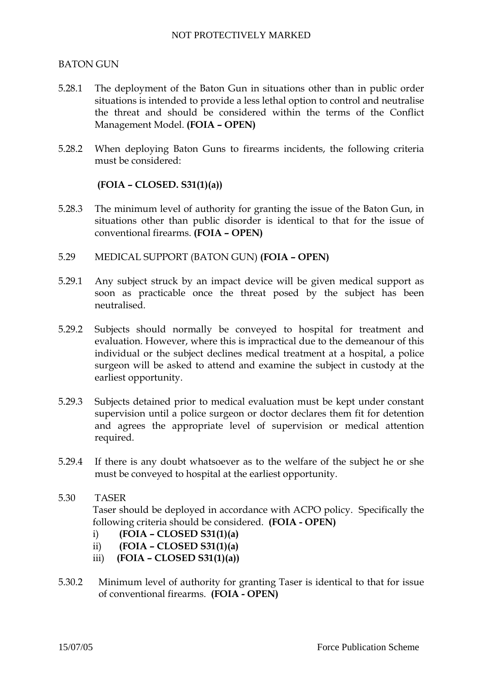## BATON GUN

- 5.28.1 The deployment of the Baton Gun in situations other than in public order situations is intended to provide a less lethal option to control and neutralise the threat and should be considered within the terms of the Conflict Management Model. **(FOIA – OPEN)**
- 5.28.2 When deploying Baton Guns to firearms incidents, the following criteria must be considered:

## **(FOIA – CLOSED. S31(1)(a))**

- 5.28.3 The minimum level of authority for granting the issue of the Baton Gun, in situations other than public disorder is identical to that for the issue of conventional firearms. **(FOIA – OPEN)**
- 5.29 MEDICAL SUPPORT (BATON GUN) **(FOIA OPEN)**
- 5.29.1 Any subject struck by an impact device will be given medical support as soon as practicable once the threat posed by the subject has been neutralised.
- 5.29.2 Subjects should normally be conveyed to hospital for treatment and evaluation. However, where this is impractical due to the demeanour of this individual or the subject declines medical treatment at a hospital, a police surgeon will be asked to attend and examine the subject in custody at the earliest opportunity.
- 5.29.3 Subjects detained prior to medical evaluation must be kept under constant supervision until a police surgeon or doctor declares them fit for detention and agrees the appropriate level of supervision or medical attention required.
- 5.29.4 If there is any doubt whatsoever as to the welfare of the subject he or she must be conveyed to hospital at the earliest opportunity.
- 5.30 TASER

Taser should be deployed in accordance with ACPO policy. Specifically the following criteria should be considered. **(FOIA - OPEN)** 

- i) **(FOIA CLOSED S31(1)(a)**
- ii) **(FOIA CLOSED S31(1)(a)**
- iii) **(FOIA CLOSED S31(1)(a))**
- 5.30.2 Minimum level of authority for granting Taser is identical to that for issue of conventional firearms. **(FOIA - OPEN)**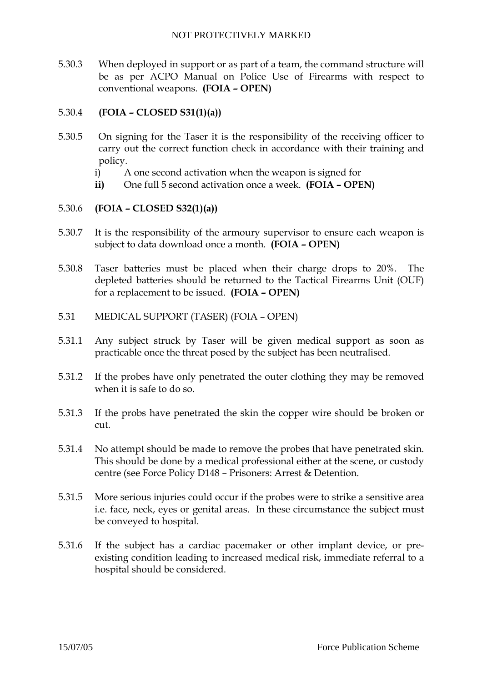5.30.3 When deployed in support or as part of a team, the command structure will be as per ACPO Manual on Police Use of Firearms with respect to conventional weapons. **(FOIA – OPEN)** 

# 5.30.4 **(FOIA – CLOSED S31(1)(a))**

- 5.30.5 On signing for the Taser it is the responsibility of the receiving officer to carry out the correct function check in accordance with their training and policy.
	- i) A one second activation when the weapon is signed for
	- **ii)** One full 5 second activation once a week. **(FOIA OPEN)**

# 5.30.6 **(FOIA – CLOSED S32(1)(a))**

- 5.30.7 It is the responsibility of the armoury supervisor to ensure each weapon is subject to data download once a month. **(FOIA – OPEN)**
- 5.30.8 Taser batteries must be placed when their charge drops to 20%. The depleted batteries should be returned to the Tactical Firearms Unit (OUF) for a replacement to be issued. **(FOIA – OPEN)**
- 5.31 MEDICAL SUPPORT (TASER) (FOIA OPEN)
- 5.31.1 Any subject struck by Taser will be given medical support as soon as practicable once the threat posed by the subject has been neutralised.
- 5.31.2 If the probes have only penetrated the outer clothing they may be removed when it is safe to do so.
- 5.31.3 If the probs have penetrated the skin the copper wire should be broken or cut.
- 5.31.4 No attempt should be made to remove the probes that have penetrated skin. This should be done by a medical professional either at the scene, or custody centre (see Force Policy D148 – Prisoners: Arrest & Detention.
- 5.31.5 More serious injuries could occur if the probes were to strike a sensitive area i.e. face, neck, eyes or genital areas. In these circumstance the subject must be conveyed to hospital.
- 5.31.6 If the subject has a cardiac pacemaker or other implant device, or preexisting condition leading to increased medical risk, immediate referral to a hospital should be considered.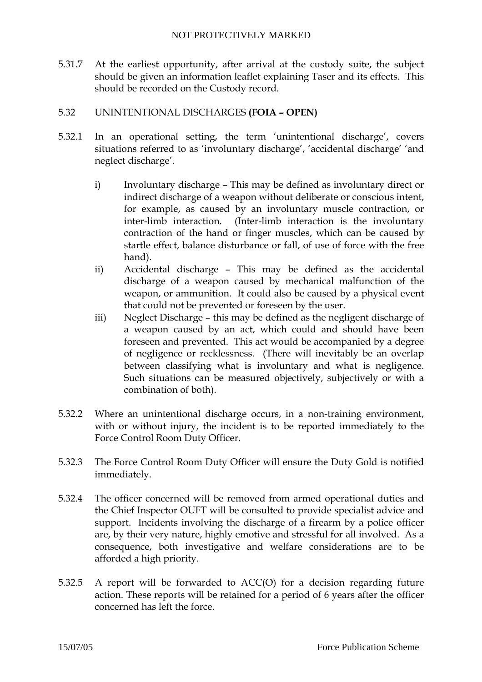5.31.7 At the earliest opportunity, after arrival at the custody suite, the subject should be given an information leaflet explaining Taser and its effects. This should be recorded on the Custody record.

# 5.32 UNINTENTIONAL DISCHARGES **(FOIA – OPEN)**

- 5.32.1 In an operational setting, the term 'unintentional discharge', covers situations referred to as 'involuntary discharge', 'accidental discharge' 'and neglect discharge'.
	- i) Involuntary discharge This may be defined as involuntary direct or indirect discharge of a weapon without deliberate or conscious intent, for example, as caused by an involuntary muscle contraction, or inter-limb interaction. (Inter-limb interaction is the involuntary contraction of the hand or finger muscles, which can be caused by startle effect, balance disturbance or fall, of use of force with the free hand).
	- ii) Accidental discharge This may be defined as the accidental discharge of a weapon caused by mechanical malfunction of the weapon, or ammunition. It could also be caused by a physical event that could not be prevented or foreseen by the user.
	- iii) Neglect Discharge this may be defined as the negligent discharge of a weapon caused by an act, which could and should have been foreseen and prevented. This act would be accompanied by a degree of negligence or recklessness. (There will inevitably be an overlap between classifying what is involuntary and what is negligence. Such situations can be measured objectively, subjectively or with a combination of both).
- 5.32.2 Where an unintentional discharge occurs, in a non-training environment, with or without injury, the incident is to be reported immediately to the Force Control Room Duty Officer.
- 5.32.3 The Force Control Room Duty Officer will ensure the Duty Gold is notified immediately.
- 5.32.4 The officer concerned will be removed from armed operational duties and the Chief Inspector OUFT will be consulted to provide specialist advice and support. Incidents involving the discharge of a firearm by a police officer are, by their very nature, highly emotive and stressful for all involved. As a consequence, both investigative and welfare considerations are to be afforded a high priority.
- 5.32.5 A report will be forwarded to ACC(O) for a decision regarding future action. These reports will be retained for a period of 6 years after the officer concerned has left the force.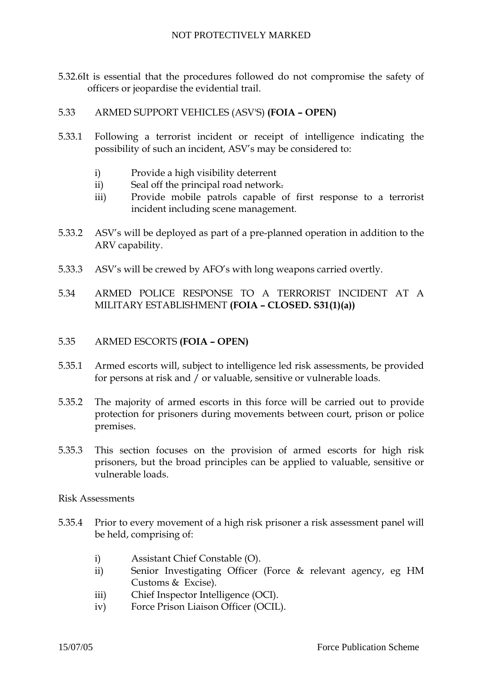- 5.32.6It is essential that the procedures followed do not compromise the safety of officers or jeopardise the evidential trail.
- 5.33 ARMED SUPPORT VEHICLES (ASV'S) **(FOIA OPEN)**
- 5.33.1 Following a terrorist incident or receipt of intelligence indicating the possibility of such an incident, ASV's may be considered to:
	- i) Provide a high visibility deterrent
	- ii) Seal off the principal road network.
	- iii) Provide mobile patrols capable of first response to a terrorist incident including scene management.
- 5.33.2 ASV's will be deployed as part of a pre-planned operation in addition to the ARV capability.
- 5.33.3 ASV's will be crewed by AFO's with long weapons carried overtly.
- 5.34 ARMED POLICE RESPONSE TO A TERRORIST INCIDENT AT A MILITARY ESTABLISHMENT **(FOIA – CLOSED. S31(1)(a))**

#### 5.35 ARMED ESCORTS **(FOIA – OPEN)**

- 5.35.1 Armed escorts will, subject to intelligence led risk assessments, be provided for persons at risk and / or valuable, sensitive or vulnerable loads.
- 5.35.2 The majority of armed escorts in this force will be carried out to provide protection for prisoners during movements between court, prison or police premises.
- 5.35.3 This section focuses on the provision of armed escorts for high risk prisoners, but the broad principles can be applied to valuable, sensitive or vulnerable loads.
- Risk Assessments
- 5.35.4 Prior to every movement of a high risk prisoner a risk assessment panel will be held, comprising of:
	- i) Assistant Chief Constable (O).
	- ii) Senior Investigating Officer (Force & relevant agency, eg HM Customs & Excise).
	- iii) Chief Inspector Intelligence (OCI).
	- iv) Force Prison Liaison Officer (OCIL).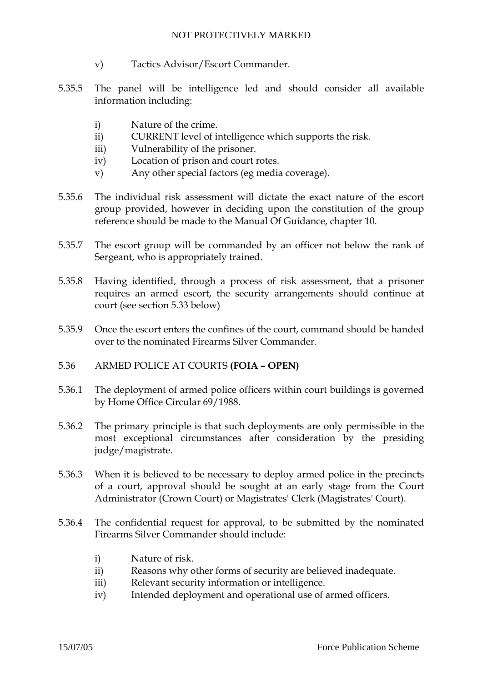- v) Tactics Advisor/Escort Commander.
- 5.35.5 The panel will be intelligence led and should consider all available information including:
	- i) Nature of the crime.
	- ii) CURRENT level of intelligence which supports the risk.
	- iii) Vulnerability of the prisoner.
	- iv) Location of prison and court rotes.
	- v) Any other special factors (eg media coverage).
- 5.35.6 The individual risk assessment will dictate the exact nature of the escort group provided, however in deciding upon the constitution of the group reference should be made to the Manual Of Guidance, chapter 10.
- 5.35.7 The escort group will be commanded by an officer not below the rank of Sergeant, who is appropriately trained.
- 5.35.8 Having identified, through a process of risk assessment, that a prisoner requires an armed escort, the security arrangements should continue at court (see section 5.33 below)
- 5.35.9 Once the escort enters the confines of the court, command should be handed over to the nominated Firearms Silver Commander.
- 5.36 ARMED POLICE AT COURTS **(FOIA OPEN)**
- 5.36.1 The deployment of armed police officers within court buildings is governed by Home Office Circular 69/1988.
- 5.36.2 The primary principle is that such deployments are only permissible in the most exceptional circumstances after consideration by the presiding judge/magistrate.
- 5.36.3 When it is believed to be necessary to deploy armed police in the precincts of a court, approval should be sought at an early stage from the Court Administrator (Crown Court) or Magistrates' Clerk (Magistrates' Court).
- 5.36.4 The confidential request for approval, to be submitted by the nominated Firearms Silver Commander should include:
	- i) Nature of risk.
	- ii) Reasons why other forms of security are believed inadequate.
	- iii) Relevant security information or intelligence.
	- iv) Intended deployment and operational use of armed officers.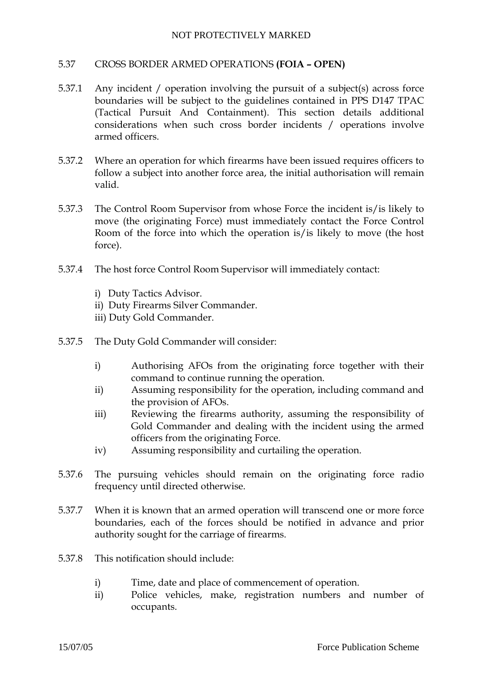## 5.37 CROSS BORDER ARMED OPERATIONS **(FOIA – OPEN)**

- 5.37.1 Any incident / operation involving the pursuit of a subject(s) across force boundaries will be subject to the guidelines contained in PPS D147 TPAC (Tactical Pursuit And Containment). This section details additional considerations when such cross border incidents / operations involve armed officers.
- 5.37.2 Where an operation for which firearms have been issued requires officers to follow a subject into another force area, the initial authorisation will remain valid.
- 5.37.3 The Control Room Supervisor from whose Force the incident is/is likely to move (the originating Force) must immediately contact the Force Control Room of the force into which the operation is/is likely to move (the host force).
- 5.37.4 The host force Control Room Supervisor will immediately contact:
	- i) Duty Tactics Advisor.
	- ii) Duty Firearms Silver Commander.
	- iii) Duty Gold Commander.
- 5.37.5 The Duty Gold Commander will consider:
	- i) Authorising AFOs from the originating force together with their command to continue running the operation.
	- ii) Assuming responsibility for the operation, including command and the provision of AFOs.
	- iii) Reviewing the firearms authority, assuming the responsibility of Gold Commander and dealing with the incident using the armed officers from the originating Force.
	- iv) Assuming responsibility and curtailing the operation.
- 5.37.6 The pursuing vehicles should remain on the originating force radio frequency until directed otherwise.
- 5.37.7 When it is known that an armed operation will transcend one or more force boundaries, each of the forces should be notified in advance and prior authority sought for the carriage of firearms.
- 5.37.8 This notification should include:
	- i) Time, date and place of commencement of operation.
	- ii) Police vehicles, make, registration numbers and number of occupants.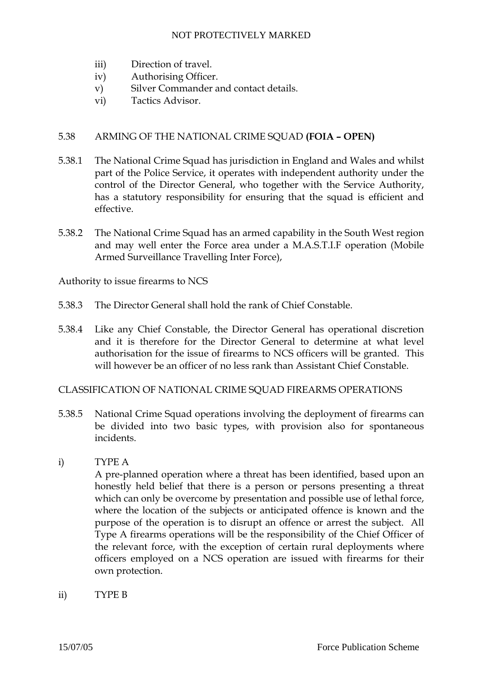- iii) Direction of travel.
- iv) Authorising Officer.
- v) Silver Commander and contact details.
- vi) Tactics Advisor.

## 5.38 ARMING OF THE NATIONAL CRIME SQUAD **(FOIA – OPEN)**

- 5.38.1 The National Crime Squad has jurisdiction in England and Wales and whilst part of the Police Service, it operates with independent authority under the control of the Director General, who together with the Service Authority, has a statutory responsibility for ensuring that the squad is efficient and effective.
- 5.38.2 The National Crime Squad has an armed capability in the South West region and may well enter the Force area under a M.A.S.T.I.F operation (Mobile Armed Surveillance Travelling Inter Force),

Authority to issue firearms to NCS

- 5.38.3 The Director General shall hold the rank of Chief Constable.
- 5.38.4 Like any Chief Constable, the Director General has operational discretion and it is therefore for the Director General to determine at what level authorisation for the issue of firearms to NCS officers will be granted. This will however be an officer of no less rank than Assistant Chief Constable.

## CLASSIFICATION OF NATIONAL CRIME SQUAD FIREARMS OPERATIONS

5.38.5 National Crime Squad operations involving the deployment of firearms can be divided into two basic types, with provision also for spontaneous incidents.

## i) TYPE A

A pre-planned operation where a threat has been identified, based upon an honestly held belief that there is a person or persons presenting a threat which can only be overcome by presentation and possible use of lethal force, where the location of the subjects or anticipated offence is known and the purpose of the operation is to disrupt an offence or arrest the subject. All Type A firearms operations will be the responsibility of the Chief Officer of the relevant force, with the exception of certain rural deployments where officers employed on a NCS operation are issued with firearms for their own protection.

ii) TYPE B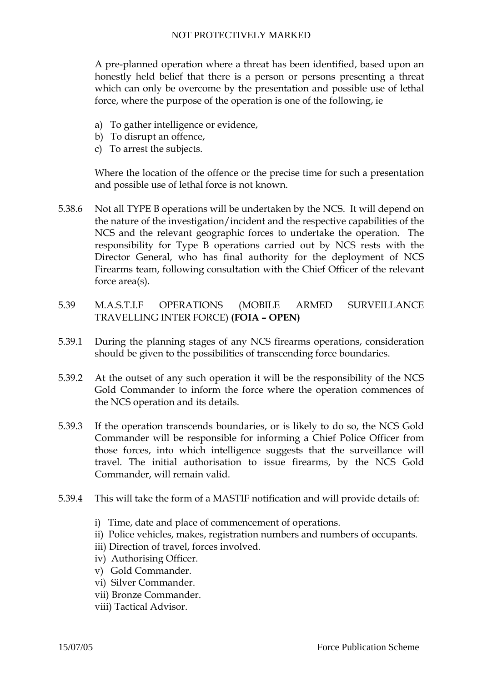A pre-planned operation where a threat has been identified, based upon an honestly held belief that there is a person or persons presenting a threat which can only be overcome by the presentation and possible use of lethal force, where the purpose of the operation is one of the following, ie

- a) To gather intelligence or evidence,
- b) To disrupt an offence,
- c) To arrest the subjects.

Where the location of the offence or the precise time for such a presentation and possible use of lethal force is not known.

- 5.38.6 Not all TYPE B operations will be undertaken by the NCS. It will depend on the nature of the investigation/incident and the respective capabilities of the NCS and the relevant geographic forces to undertake the operation. The responsibility for Type B operations carried out by NCS rests with the Director General, who has final authority for the deployment of NCS Firearms team, following consultation with the Chief Officer of the relevant force area(s).
- 5.39 M.A.S.T.I.F OPERATIONS (MOBILE ARMED SURVEILLANCE TRAVELLING INTER FORCE) **(FOIA – OPEN)**
- 5.39.1 During the planning stages of any NCS firearms operations, consideration should be given to the possibilities of transcending force boundaries.
- 5.39.2 At the outset of any such operation it will be the responsibility of the NCS Gold Commander to inform the force where the operation commences of the NCS operation and its details.
- 5.39.3 If the operation transcends boundaries, or is likely to do so, the NCS Gold Commander will be responsible for informing a Chief Police Officer from those forces, into which intelligence suggests that the surveillance will travel. The initial authorisation to issue firearms, by the NCS Gold Commander, will remain valid.
- 5.39.4 This will take the form of a MASTIF notification and will provide details of:
	- i) Time, date and place of commencement of operations.
	- ii) Police vehicles, makes, registration numbers and numbers of occupants.
	- iii) Direction of travel, forces involved.
	- iv) Authorising Officer.
	- v) Gold Commander.
	- vi) Silver Commander.
	- vii) Bronze Commander.
	- viii) Tactical Advisor.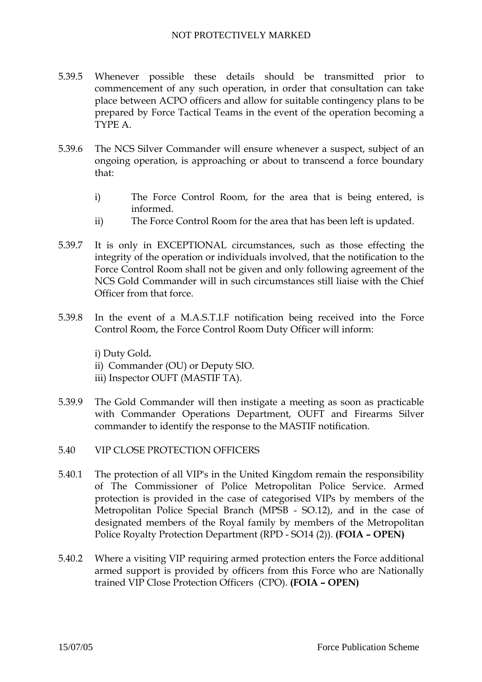- 5.39.5 Whenever possible these details should be transmitted prior to commencement of any such operation, in order that consultation can take place between ACPO officers and allow for suitable contingency plans to be prepared by Force Tactical Teams in the event of the operation becoming a TYPE A.
- 5.39.6 The NCS Silver Commander will ensure whenever a suspect, subject of an ongoing operation, is approaching or about to transcend a force boundary that:
	- i) The Force Control Room, for the area that is being entered, is informed.
	- ii) The Force Control Room for the area that has been left is updated.
- 5.39.7 It is only in EXCEPTIONAL circumstances, such as those effecting the integrity of the operation or individuals involved, that the notification to the Force Control Room shall not be given and only following agreement of the NCS Gold Commander will in such circumstances still liaise with the Chief Officer from that force.
- 5.39.8 In the event of a M.A.S.T.I.F notification being received into the Force Control Room, the Force Control Room Duty Officer will inform:

i) Duty Gold*.* 

- ii) Commander (OU) or Deputy SIO.
- iii) Inspector OUFT (MASTIF TA).
- 5.39.9 The Gold Commander will then instigate a meeting as soon as practicable with Commander Operations Department, OUFT and Firearms Silver commander to identify the response to the MASTIF notification.
- 5.40 VIP CLOSE PROTECTION OFFICERS
- 5.40.1 The protection of all VIP's in the United Kingdom remain the responsibility of The Commissioner of Police Metropolitan Police Service. Armed protection is provided in the case of categorised VIPs by members of the Metropolitan Police Special Branch (MPSB - SO.12), and in the case of designated members of the Royal family by members of the Metropolitan Police Royalty Protection Department (RPD - SO14 (2)). **(FOIA – OPEN)**
- 5.40.2 Where a visiting VIP requiring armed protection enters the Force additional armed support is provided by officers from this Force who are Nationally trained VIP Close Protection Officers (CPO). **(FOIA – OPEN)**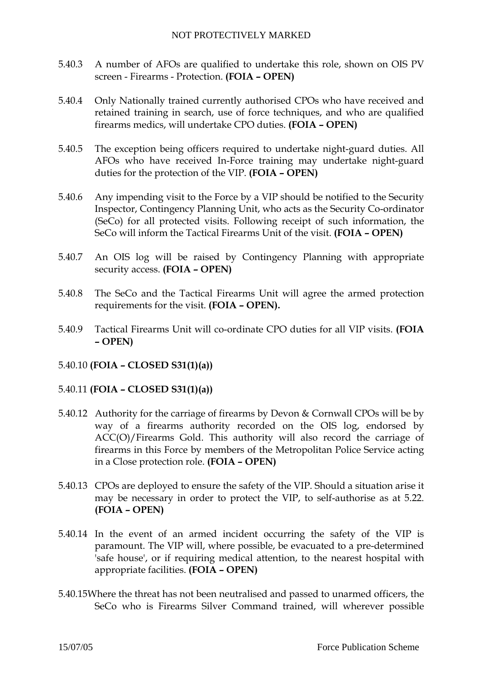- 5.40.3 A number of AFOs are qualified to undertake this role, shown on OIS PV screen - Firearms - Protection. **(FOIA – OPEN)**
- 5.40.4 Only Nationally trained currently authorised CPOs who have received and retained training in search, use of force techniques, and who are qualified firearms medics, will undertake CPO duties. **(FOIA – OPEN)**
- 5.40.5 The exception being officers required to undertake night-guard duties. All AFOs who have received In-Force training may undertake night-guard duties for the protection of the VIP. **(FOIA – OPEN)**
- 5.40.6 Any impending visit to the Force by a VIP should be notified to the Security Inspector, Contingency Planning Unit, who acts as the Security Co-ordinator (SeCo) for all protected visits. Following receipt of such information, the SeCo will inform the Tactical Firearms Unit of the visit. **(FOIA – OPEN)**
- 5.40.7 An OIS log will be raised by Contingency Planning with appropriate security access. **(FOIA – OPEN)**
- 5.40.8 The SeCo and the Tactical Firearms Unit will agree the armed protection requirements for the visit. **(FOIA – OPEN).**
- 5.40.9 Tactical Firearms Unit will co-ordinate CPO duties for all VIP visits. **(FOIA – OPEN)**
- 5.40.10 **(FOIA CLOSED S31(1)(a))**
- 5.40.11 **(FOIA CLOSED S31(1)(a))**
- 5.40.12 Authority for the carriage of firearms by Devon & Cornwall CPOs will be by way of a firearms authority recorded on the OIS log, endorsed by ACC(O)/Firearms Gold. This authority will also record the carriage of firearms in this Force by members of the Metropolitan Police Service acting in a Close protection role. **(FOIA – OPEN)**
- 5.40.13 CPOs are deployed to ensure the safety of the VIP. Should a situation arise it may be necessary in order to protect the VIP, to self-authorise as at 5.22. **(FOIA – OPEN)**
- 5.40.14 In the event of an armed incident occurring the safety of the VIP is paramount. The VIP will, where possible, be evacuated to a pre-determined 'safe house', or if requiring medical attention, to the nearest hospital with appropriate facilities. **(FOIA – OPEN)**
- 5.40.15Where the threat has not been neutralised and passed to unarmed officers, the SeCo who is Firearms Silver Command trained, will wherever possible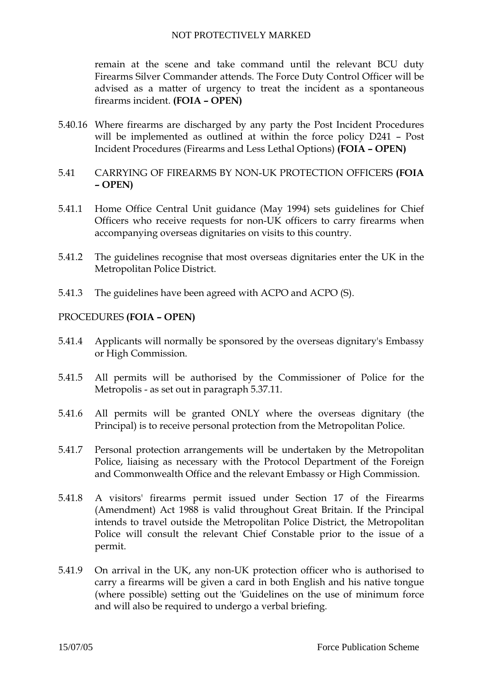remain at the scene and take command until the relevant BCU duty Firearms Silver Commander attends. The Force Duty Control Officer will be advised as a matter of urgency to treat the incident as a spontaneous firearms incident. **(FOIA – OPEN)**

- 5.40.16 Where firearms are discharged by any party the Post Incident Procedures will be implemented as outlined at within the force policy D241 – Post Incident Procedures (Firearms and Less Lethal Options) **(FOIA – OPEN)**
- 5.41 CARRYING OF FIREARMS BY NON-UK PROTECTION OFFICERS **(FOIA – OPEN)**
- 5.41.1 Home Office Central Unit guidance (May 1994) sets guidelines for Chief Officers who receive requests for non-UK officers to carry firearms when accompanying overseas dignitaries on visits to this country.
- 5.41.2 The guidelines recognise that most overseas dignitaries enter the UK in the Metropolitan Police District.
- 5.41.3 The guidelines have been agreed with ACPO and ACPO (S).

## PROCEDURES **(FOIA – OPEN)**

- 5.41.4 Applicants will normally be sponsored by the overseas dignitary's Embassy or High Commission.
- 5.41.5 All permits will be authorised by the Commissioner of Police for the Metropolis - as set out in paragraph 5.37.11.
- 5.41.6 All permits will be granted ONLY where the overseas dignitary (the Principal) is to receive personal protection from the Metropolitan Police.
- 5.41.7 Personal protection arrangements will be undertaken by the Metropolitan Police, liaising as necessary with the Protocol Department of the Foreign and Commonwealth Office and the relevant Embassy or High Commission.
- 5.41.8 A visitors' firearms permit issued under Section 17 of the Firearms (Amendment) Act 1988 is valid throughout Great Britain. If the Principal intends to travel outside the Metropolitan Police District, the Metropolitan Police will consult the relevant Chief Constable prior to the issue of a permit.
- 5.41.9 On arrival in the UK, any non-UK protection officer who is authorised to carry a firearms will be given a card in both English and his native tongue (where possible) setting out the 'Guidelines on the use of minimum force and will also be required to undergo a verbal briefing.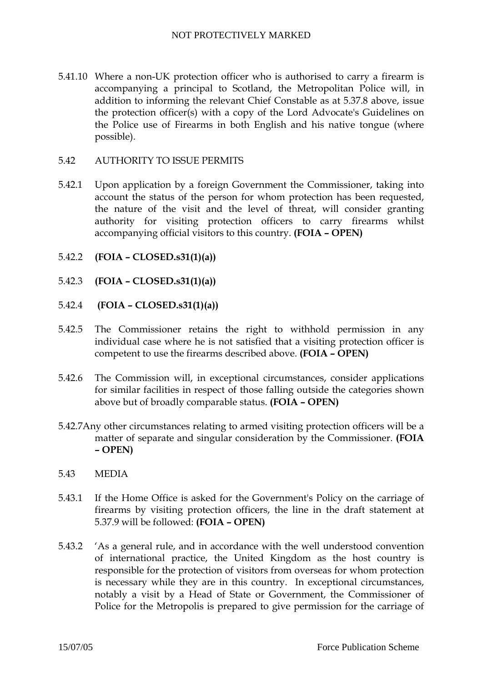5.41.10 Where a non-UK protection officer who is authorised to carry a firearm is accompanying a principal to Scotland, the Metropolitan Police will, in addition to informing the relevant Chief Constable as at 5.37.8 above, issue the protection officer(s) with a copy of the Lord Advocate's Guidelines on the Police use of Firearms in both English and his native tongue (where possible).

# 5.42 AUTHORITY TO ISSUE PERMITS

- 5.42.1 Upon application by a foreign Government the Commissioner, taking into account the status of the person for whom protection has been requested, the nature of the visit and the level of threat, will consider granting authority for visiting protection officers to carry firearms whilst accompanying official visitors to this country. **(FOIA – OPEN)**
- 5.42.2 **(FOIA CLOSED.s31(1)(a))**
- 5.42.3 **(FOIA CLOSED.s31(1)(a))**
- 5.42.4 **(FOIA CLOSED.s31(1)(a))**
- 5.42.5 The Commissioner retains the right to withhold permission in any individual case where he is not satisfied that a visiting protection officer is competent to use the firearms described above. **(FOIA – OPEN)**
- 5.42.6 The Commission will, in exceptional circumstances, consider applications for similar facilities in respect of those falling outside the categories shown above but of broadly comparable status. **(FOIA – OPEN)**
- 5.42.7Any other circumstances relating to armed visiting protection officers will be a matter of separate and singular consideration by the Commissioner. **(FOIA – OPEN)**
- 5.43 MEDIA
- 5.43.1 If the Home Office is asked for the Government's Policy on the carriage of firearms by visiting protection officers, the line in the draft statement at 5.37.9 will be followed: **(FOIA – OPEN)**
- 5.43.2 'As a general rule, and in accordance with the well understood convention of international practice, the United Kingdom as the host country is responsible for the protection of visitors from overseas for whom protection is necessary while they are in this country. In exceptional circumstances, notably a visit by a Head of State or Government, the Commissioner of Police for the Metropolis is prepared to give permission for the carriage of